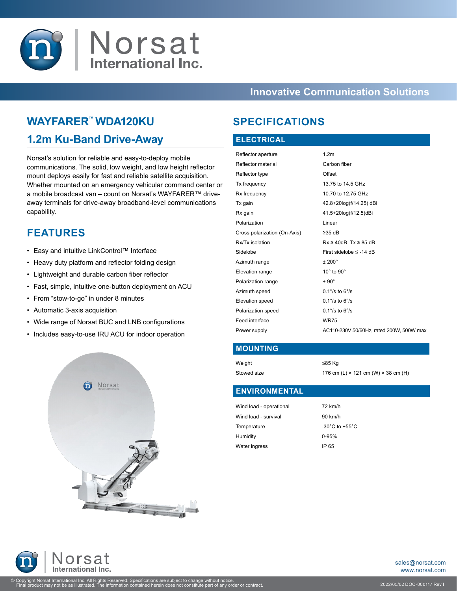

### **Innovative Communication Solutions**

## **WAYFARER™ WDA120KU**

## **1.2m Ku-Band Drive-Away**

Norsat's solution for reliable and easy-to-deploy mobile communications. The solid, low weight, and low height reflector mount deploys easily for fast and reliable satellite acquisition. Whether mounted on an emergency vehicular command center or a mobile broadcast van – count on Norsat's WAYFARER™ driveaway terminals for drive-away broadband-level communications capability.

## **FEATURES**

- Easy and intuitive LinkControl™ Interface
- Heavy duty platform and reflector folding design
- Lightweight and durable carbon fiber reflector
- Fast, simple, intuitive one-button deployment on ACU
- From "stow-to-go" in under 8 minutes
- Automatic 3-axis acquisition
- Wide range of Norsat BUC and LNB configurations
- Includes easy-to-use IRU ACU for indoor operation



## **SPECIFICATIONS**

#### **ELECTRICAL**

| Reflector aperture           | 1.2 <sub>m</sub>                         |
|------------------------------|------------------------------------------|
| Reflector material           | Carbon fiber                             |
| Reflector type               | Offset                                   |
| Tx frequency                 | 13.75 to 14.5 GHz                        |
| Rx frequency                 | 10.70 to 12.75 GHz                       |
| Tx gain                      | 42.8+20log(f/14.25) dBi                  |
| Rx gain                      | 41.5+20log(f/12.5)dBi                    |
| Polarization                 | Linear                                   |
| Cross polarization (On-Axis) | $\geq$ 35 dB                             |
| Rx/Tx isolation              | $Rx \ge 40dB$ Tx $\ge 85dB$              |
| Sidelobe                     | First sidelobe $\leq$ -14 dB             |
| Azimuth range                | $±200^{\circ}$                           |
| Elevation range              | $10^{\circ}$ to $90^{\circ}$             |
| Polarization range           | $± 90^\circ$                             |
| Azimuth speed                | $0.1\%$ to $6\%$                         |
| Elevation speed              | $0.1\degree$ /s to 6 $\degree$ /s        |
| Polarization speed           | $0.1\%$ to $6\%$                         |
| Feed interface               | <b>WR75</b>                              |
| Power supply                 | AC110-230V 50/60Hz, rated 200W, 500W max |
|                              |                                          |

#### **MOUNTING**

Weight ≤85 Kg

Stowed size 176 cm (L)  $\times$  121 cm (W)  $\times$  38 cm (H)

#### **ENVIRONMENTAL**

| Wind load - operational | 72 km/h                            |
|-------------------------|------------------------------------|
| Wind load - survival    | 90 km/h                            |
| Temperature             | $-30^{\circ}$ C to $+55^{\circ}$ C |
| Humidity                | $0 - 95%$                          |
| Water ingress           | IP 65                              |